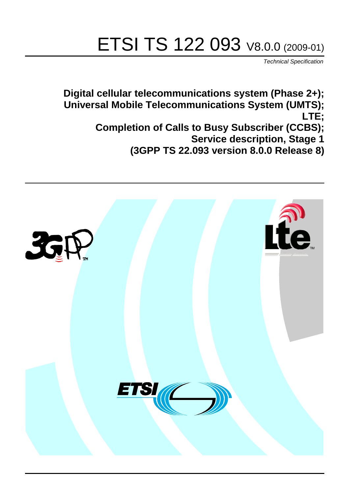# ETSI TS 122 093 V8.0.0 (2009-01)

*Technical Specification*

**Digital cellular telecommunications system (Phase 2+); Universal Mobile Telecommunications System (UMTS); LTE; Completion of Calls to Busy Subscriber (CCBS); Service description, Stage 1 (3GPP TS 22.093 version 8.0.0 Release 8)**

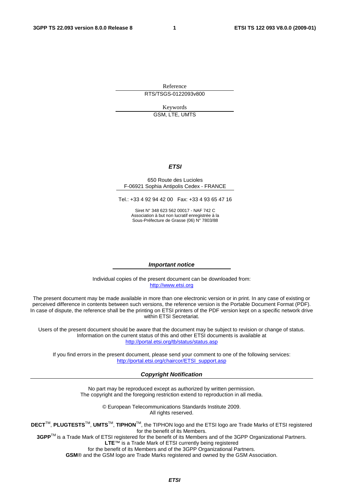Reference RTS/TSGS-0122093v800

Keywords

GSM, LTE, UMTS

#### *ETSI*

#### 650 Route des Lucioles F-06921 Sophia Antipolis Cedex - FRANCE

Tel.: +33 4 92 94 42 00 Fax: +33 4 93 65 47 16

Siret N° 348 623 562 00017 - NAF 742 C Association à but non lucratif enregistrée à la Sous-Préfecture de Grasse (06) N° 7803/88

#### *Important notice*

Individual copies of the present document can be downloaded from: [http://www.etsi.org](http://www.etsi.org/)

The present document may be made available in more than one electronic version or in print. In any case of existing or perceived difference in contents between such versions, the reference version is the Portable Document Format (PDF). In case of dispute, the reference shall be the printing on ETSI printers of the PDF version kept on a specific network drive within ETSI Secretariat.

Users of the present document should be aware that the document may be subject to revision or change of status. Information on the current status of this and other ETSI documents is available at <http://portal.etsi.org/tb/status/status.asp>

If you find errors in the present document, please send your comment to one of the following services: [http://portal.etsi.org/chaircor/ETSI\\_support.asp](http://portal.etsi.org/chaircor/ETSI_support.asp)

#### *Copyright Notification*

No part may be reproduced except as authorized by written permission. The copyright and the foregoing restriction extend to reproduction in all media.

> © European Telecommunications Standards Institute 2009. All rights reserved.

**DECT**TM, **PLUGTESTS**TM, **UMTS**TM, **TIPHON**TM, the TIPHON logo and the ETSI logo are Trade Marks of ETSI registered for the benefit of its Members.

**3GPP**TM is a Trade Mark of ETSI registered for the benefit of its Members and of the 3GPP Organizational Partners. **LTE**™ is a Trade Mark of ETSI currently being registered

for the benefit of its Members and of the 3GPP Organizational Partners.

**GSM**® and the GSM logo are Trade Marks registered and owned by the GSM Association.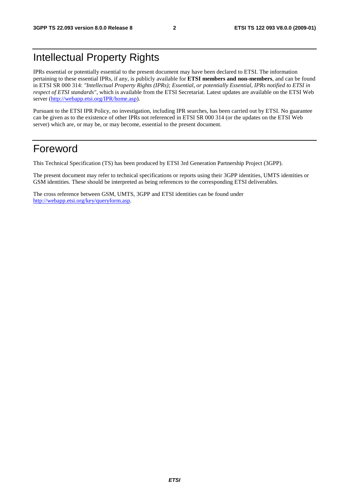## Intellectual Property Rights

IPRs essential or potentially essential to the present document may have been declared to ETSI. The information pertaining to these essential IPRs, if any, is publicly available for **ETSI members and non-members**, and can be found in ETSI SR 000 314: *"Intellectual Property Rights (IPRs); Essential, or potentially Essential, IPRs notified to ETSI in respect of ETSI standards"*, which is available from the ETSI Secretariat. Latest updates are available on the ETSI Web server [\(http://webapp.etsi.org/IPR/home.asp\)](http://webapp.etsi.org/IPR/home.asp).

Pursuant to the ETSI IPR Policy, no investigation, including IPR searches, has been carried out by ETSI. No guarantee can be given as to the existence of other IPRs not referenced in ETSI SR 000 314 (or the updates on the ETSI Web server) which are, or may be, or may become, essential to the present document.

### Foreword

This Technical Specification (TS) has been produced by ETSI 3rd Generation Partnership Project (3GPP).

The present document may refer to technical specifications or reports using their 3GPP identities, UMTS identities or GSM identities. These should be interpreted as being references to the corresponding ETSI deliverables.

The cross reference between GSM, UMTS, 3GPP and ETSI identities can be found under [http://webapp.etsi.org/key/queryform.asp.](http://webapp.etsi.org/key/queryform.asp)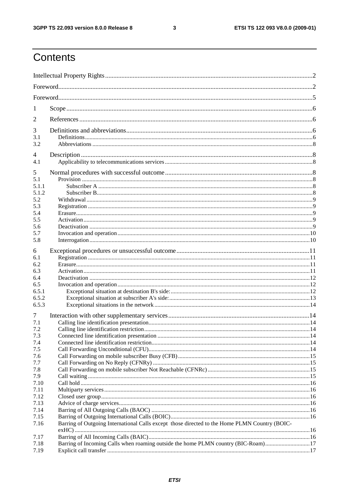$\mathbf{3}$ 

## Contents

| 1              |                                                                                               |  |  |  |  |  |  |
|----------------|-----------------------------------------------------------------------------------------------|--|--|--|--|--|--|
| $\overline{2}$ |                                                                                               |  |  |  |  |  |  |
| 3              |                                                                                               |  |  |  |  |  |  |
| 3.1            |                                                                                               |  |  |  |  |  |  |
| 3.2            |                                                                                               |  |  |  |  |  |  |
| 4              |                                                                                               |  |  |  |  |  |  |
| 4.1            |                                                                                               |  |  |  |  |  |  |
| 5              |                                                                                               |  |  |  |  |  |  |
| 5.1            |                                                                                               |  |  |  |  |  |  |
| 5.1.1          |                                                                                               |  |  |  |  |  |  |
| 5.1.2          |                                                                                               |  |  |  |  |  |  |
| 5.2            |                                                                                               |  |  |  |  |  |  |
| 5.3            |                                                                                               |  |  |  |  |  |  |
| 5.4            |                                                                                               |  |  |  |  |  |  |
| 5.5            |                                                                                               |  |  |  |  |  |  |
| 5.6            |                                                                                               |  |  |  |  |  |  |
| 5.7            |                                                                                               |  |  |  |  |  |  |
| 5.8            |                                                                                               |  |  |  |  |  |  |
| 6              |                                                                                               |  |  |  |  |  |  |
| 6.1            |                                                                                               |  |  |  |  |  |  |
| 6.2            |                                                                                               |  |  |  |  |  |  |
| 6.3            |                                                                                               |  |  |  |  |  |  |
| 6.4            |                                                                                               |  |  |  |  |  |  |
| 6.5            |                                                                                               |  |  |  |  |  |  |
| 6.5.1          |                                                                                               |  |  |  |  |  |  |
| 6.5.2          |                                                                                               |  |  |  |  |  |  |
| 6.5.3          |                                                                                               |  |  |  |  |  |  |
| 7              |                                                                                               |  |  |  |  |  |  |
| 7.1            |                                                                                               |  |  |  |  |  |  |
| 7.2            |                                                                                               |  |  |  |  |  |  |
| 7.3            |                                                                                               |  |  |  |  |  |  |
| 7.4            |                                                                                               |  |  |  |  |  |  |
| 7.5            |                                                                                               |  |  |  |  |  |  |
| 7.6            |                                                                                               |  |  |  |  |  |  |
| 7.7            |                                                                                               |  |  |  |  |  |  |
| 7.8            |                                                                                               |  |  |  |  |  |  |
| 7.9            |                                                                                               |  |  |  |  |  |  |
| 7.10           |                                                                                               |  |  |  |  |  |  |
| 7.11<br>7.12   |                                                                                               |  |  |  |  |  |  |
| 7.13           |                                                                                               |  |  |  |  |  |  |
| 7.14           |                                                                                               |  |  |  |  |  |  |
| 7.15           |                                                                                               |  |  |  |  |  |  |
| 7.16           | Barring of Outgoing International Calls except those directed to the Home PLMN Country (BOIC- |  |  |  |  |  |  |
|                |                                                                                               |  |  |  |  |  |  |
| 7.17           |                                                                                               |  |  |  |  |  |  |
| 7.18           | Barring of Incoming Calls when roaming outside the home PLMN country (BIC-Roam)17             |  |  |  |  |  |  |
| 7.19           |                                                                                               |  |  |  |  |  |  |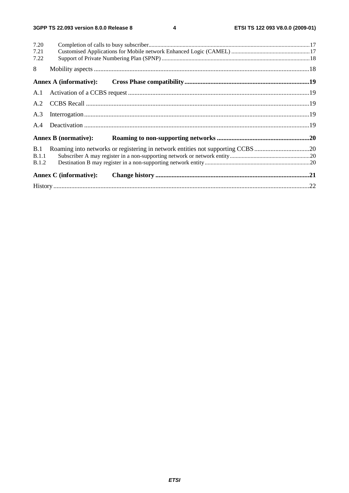$\overline{\mathbf{4}}$ 

| 7.20         |                                                                                 |  |  |  |  |  |  |
|--------------|---------------------------------------------------------------------------------|--|--|--|--|--|--|
| 7.21         |                                                                                 |  |  |  |  |  |  |
| 7.22         |                                                                                 |  |  |  |  |  |  |
| 8            |                                                                                 |  |  |  |  |  |  |
|              |                                                                                 |  |  |  |  |  |  |
|              |                                                                                 |  |  |  |  |  |  |
|              |                                                                                 |  |  |  |  |  |  |
| A.3          |                                                                                 |  |  |  |  |  |  |
| A.4          |                                                                                 |  |  |  |  |  |  |
|              | <b>Annex B</b> (normative):                                                     |  |  |  |  |  |  |
| B.1          | Roaming into networks or registering in network entities not supporting CCBS 20 |  |  |  |  |  |  |
| B.1.1        |                                                                                 |  |  |  |  |  |  |
| <b>B.1.2</b> |                                                                                 |  |  |  |  |  |  |
|              | <b>Annex C</b> (informative):                                                   |  |  |  |  |  |  |
|              |                                                                                 |  |  |  |  |  |  |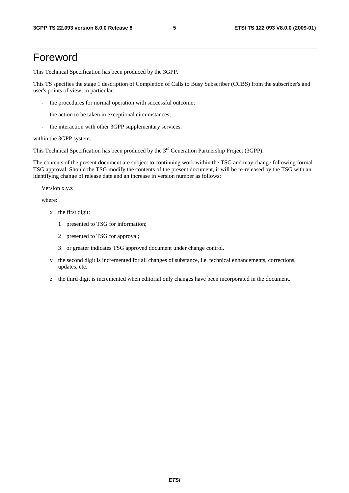### Foreword

This Technical Specification has been produced by the 3GPP.

This TS specifies the stage 1 description of Completion of Calls to Busy Subscriber (CCBS) from the subscriber's and user's points of view; in particular:

- the procedures for normal operation with successful outcome;
- the action to be taken in exceptional circumstances;
- the interaction with other 3GPP supplementary services.

within the 3GPP system.

This Technical Specification has been produced by the 3<sup>rd</sup> Generation Partnership Project (3GPP).

The contents of the present document are subject to continuing work within the TSG and may change following formal TSG approval. Should the TSG modify the contents of the present document, it will be re-released by the TSG with an identifying change of release date and an increase in version number as follows:

Version x.y.z

where:

- x the first digit:
	- 1 presented to TSG for information;
	- 2 presented to TSG for approval;
	- 3 or greater indicates TSG approved document under change control.
- y the second digit is incremented for all changes of substance, i.e. technical enhancements, corrections, updates, etc.
- z the third digit is incremented when editorial only changes have been incorporated in the document.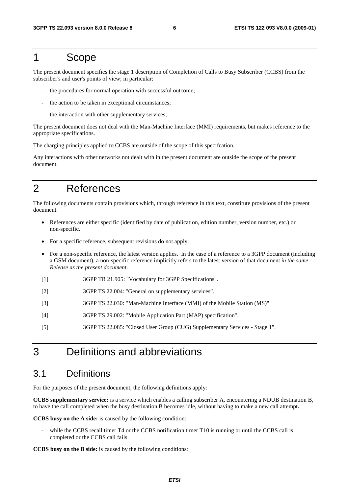#### 1 Scope

The present document specifies the stage 1 description of Completion of Calls to Busy Subscriber (CCBS) from the subscriber's and user's points of view; in particular:

- the procedures for normal operation with successful outcome;
- the action to be taken in exceptional circumstances;
- the interaction with other supplementary services;

The present document does not deal with the Man-Machine Interface (MMI) requirements, but makes reference to the appropriate specifications.

The charging principles applied to CCBS are outside of the scope of this specifcation.

Any interactions with other networks not dealt with in the present document are outside the scope of the present document.

### 2 References

The following documents contain provisions which, through reference in this text, constitute provisions of the present document.

- References are either specific (identified by date of publication, edition number, version number, etc.) or non-specific.
- For a specific reference, subsequent revisions do not apply.
- For a non-specific reference, the latest version applies. In the case of a reference to a 3GPP document (including a GSM document), a non-specific reference implicitly refers to the latest version of that document *in the same Release as the present document*.
- [1] 3GPP TR 21.905: "Vocabulary for 3GPP Specifications".
- [2] 3GPP TS 22.004: "General on supplementary services".
- [3] 3GPP TS 22.030: "Man-Machine Interface (MMI) of the Mobile Station (MS)".
- [4] 3GPP TS 29.002: "Mobile Application Part (MAP) specification".
- [5] 3GPP TS 22.085: "Closed User Group (CUG) Supplementary Services Stage 1".

### 3 Definitions and abbreviations

#### 3.1 Definitions

For the purposes of the present document, the following definitions apply:

**CCBS supplementary service:** is a service which enables a calling subscriber A, encountering a NDUB destination B, to have the call completed when the busy destination B becomes idle, without having to make a new call attempt**.** 

**CCBS busy on the A side:** is caused by the following condition:

while the CCBS recall timer T4 or the CCBS notification timer T10 is running or until the CCBS call is completed or the CCBS call fails.

**CCBS busy on the B side:** is caused by the following conditions: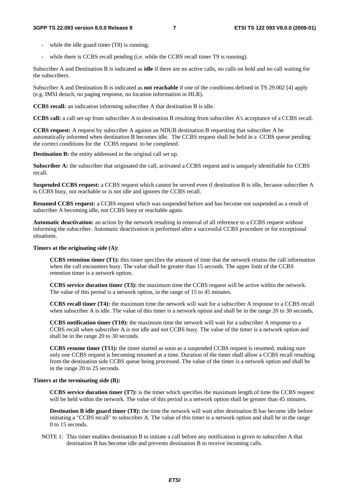- while the idle guard timer (T8) is running;
- while there is CCBS recall pending (i.e. while the CCBS recall timer T9 is running).

Subscriber A and Destination B is indicated as **idle** if there are no active calls, no calls on hold and no call waiting for the subscribers.

Subscriber A and Destination B is indicated as **not reachable** if one of the conditions defined in TS 29.002 [4] apply (e.g. IMSI detach, no paging response, no location information in HLR).

**CCBS recall:** an indication informing subscriber A that destination B is idle.

**CCBS call:** a call set-up from subscriber A to destination B resulting from subscriber A's acceptance of a CCBS recall.

**CCBS request:** A request by subscriber A against an NDUB destination B requesting that subscriber A be automatically informed when destination B becomes idle. The CCBS request shall be held in a CCBS queue pending the correct conditions for the CCBS request to be completed.

**Destination B:** the entity addressed in the original call set up.

**Subscriber A:** the subscriber that originated the call, activated a CCBS request and is uniquely identifiable for CCBS recall.

**Suspended CCBS request:** a CCBS request which cannot be served even if destination B is idle, because subscriber A is CCBS busy, not reachable or is not idle and ignores the CCBS recall.

**Resumed CCBS request:** a CCBS request which was suspended before and has become not suspended as a result of subscriber A becoming idle, not CCBS busy or reachable again.

**Automatic deactivation:** an action by the network resulting in removal of all reference to a CCBS request without informing the subscriber. Automatic deactivation is performed after a successful CCBS procedure or for exceptional situations.

#### **Timers at the originating side (A):**

 **CCBS retention timer (T1):** this timer specifies the amount of time that the network retains the call information when the call encounters busy. The value shall be greater than 15 seconds. The upper limit of the CCBS retention timer is a network option.

 **CCBS service duration timer (T3):** the maximum time the CCBS request will be active within the network. The value of this period is a network option, in the range of 15 to 45 minutes.

 **CCBS recall timer (T4):** the maximum time the network will wait for a subscriber A response to a CCBS recall when subscriber A is idle. The value of this timer is a network option and shall be in the range 20 to 30 seconds**.**

 **CCBS notification timer (T10):** the maximum time the network will wait for a subscriber A response to a CCBS recall when subscriber A is not idle and not CCBS busy. The value of the timer is a network option and shall be in the range 20 to 30 seconds.

 **CCBS resume timer (T11):** the timer started as soon as a suspended CCBS request is resumed, making sure only one CCBS request is becoming resumed at a time. Duration of the timer shall allow a CCBS recall resulting from the destination side CCBS queue being processed. The value of the timer is a network option and shall be in the range 20 to 25 seconds.

#### **Timers at the terminating side (B):**

 **CCBS service duration timer (T7):** is the timer which specifies the maximum length of time the CCBS request will be held within the network. The value of this period is a network option shall be greater than 45 minutes.

**Destination B idle guard timer (T8):** the time the network will wait after destination B has become idle before initiating a "CCBS recall" to subscriber A. The value of this timer is a network option and shall be in the range 0 to 15 seconds.

NOTE 1: This timer enables destination B to initiate a call before any notification is given to subscriber A that destination B has become idle and prevents destination B to receive incoming calls.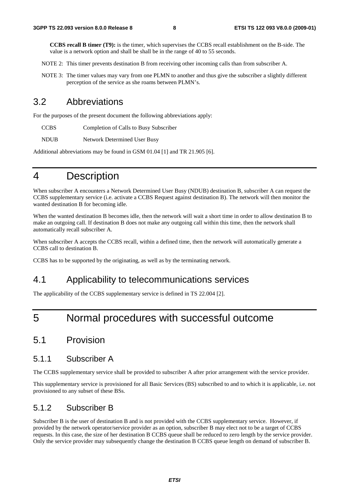**CCBS recall B timer (T9):** is the timer, which supervises the CCBS recall establishment on the B-side. The value is a network option and shall be shall be in the range of 40 to 55 seconds.

- NOTE 2: This timer prevents destination B from receiving other incoming calls than from subscriber A.
- NOTE 3: The timer values may vary from one PLMN to another and thus give the subscriber a slightly different perception of the service as she roams between PLMN's.

#### 3.2 Abbreviations

For the purposes of the present document the following abbreviations apply:

CCBS Completion of Calls to Busy Subscriber

NDUB Network Determined User Busy

Additional abbreviations may be found in GSM 01.04 [1] and TR 21.905 [6].

### 4 Description

When subscriber A encounters a Network Determined User Busy (NDUB) destination B, subscriber A can request the CCBS supplementary service (i.e. activate a CCBS Request against destination B). The network will then monitor the wanted destination B for becoming idle.

When the wanted destination B becomes idle, then the network will wait a short time in order to allow destination B to make an outgoing call. If destination B does not make any outgoing call within this time, then the network shall automatically recall subscriber A.

When subscriber A accepts the CCBS recall, within a defined time, then the network will automatically generate a CCBS call to destination B.

CCBS has to be supported by the originating, as well as by the terminating network.

#### 4.1 Applicability to telecommunications services

The applicability of the CCBS supplementary service is defined in TS 22.004 [2].

### 5 Normal procedures with successful outcome

#### 5.1 Provision

#### 5.1.1 Subscriber A

The CCBS supplementary service shall be provided to subscriber A after prior arrangement with the service provider.

This supplementary service is provisioned for all Basic Services (BS) subscribed to and to which it is applicable, i.e. not provisioned to any subset of these BSs.

#### 5.1.2 Subscriber B

Subscriber B is the user of destination B and is not provided with the CCBS supplementary service. However, if provided by the network operator/service provider as an option, subscriber B may elect not to be a target of CCBS requests. In this case, the size of her destination B CCBS queue shall be reduced to zero length by the service provider. Only the service provider may subsequently change the destination B CCBS queue length on demand of subscriber B.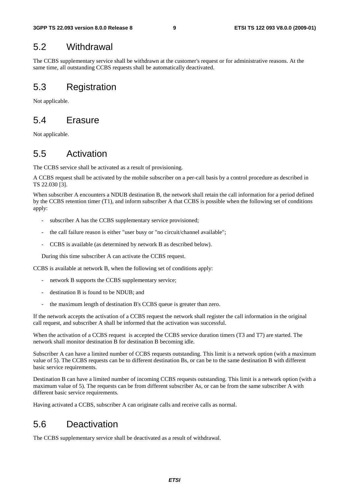#### 5.2 Withdrawal

The CCBS supplementary service shall be withdrawn at the customer's request or for administrative reasons. At the same time, all outstanding CCBS requests shall be automatically deactivated.

#### 5.3 Registration

Not applicable.

#### 5.4 Erasure

Not applicable.

### 5.5 Activation

The CCBS service shall be activated as a result of provisioning.

A CCBS request shall be activated by the mobile subscriber on a per-call basis by a control procedure as described in TS 22.030 [3].

When subscriber A encounters a NDUB destination B, the network shall retain the call information for a period defined by the CCBS retention timer (T1), and inform subscriber A that CCBS is possible when the following set of conditions apply:

- subscriber A has the CCBS supplementary service provisioned;
- the call failure reason is either "user busy or "no circuit/channel available";
- CCBS is available (as determined by network B as described below).

During this time subscriber A can activate the CCBS request.

CCBS is available at network B, when the following set of conditions apply:

- network B supports the CCBS supplementary service;
- destination B is found to be NDUB; and
- the maximum length of destination B's CCBS queue is greater than zero.

If the network accepts the activation of a CCBS request the network shall register the call information in the original call request, and subscriber A shall be informed that the activation was successful.

When the activation of a CCBS request is accepted the CCBS service duration timers (T3 and T7) are started. The network shall monitor destination B for destination B becoming idle.

Subscriber A can have a limited number of CCBS requests outstanding. This limit is a network option (with a maximum value of 5). The CCBS requests can be to different destination Bs, or can be to the same destination B with different basic service requirements.

Destination B can have a limited number of incoming CCBS requests outstanding. This limit is a network option (with a maximum value of 5). The requests can be from different subscriber As, or can be from the same subscriber A with different basic service requirements.

Having activated a CCBS, subscriber A can originate calls and receive calls as normal.

### 5.6 Deactivation

The CCBS supplementary service shall be deactivated as a result of withdrawal.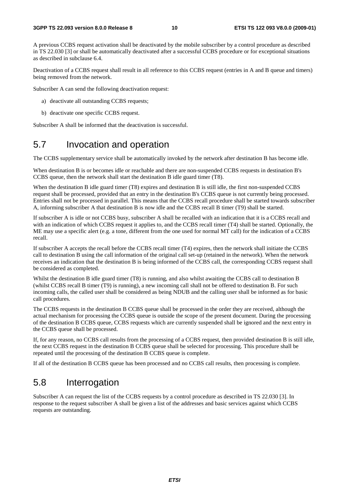A previous CCBS request activation shall be deactivated by the mobile subscriber by a control procedure as described in TS 22.030 [3] or shall be automatically deactivated after a successful CCBS procedure or for exceptional situations as described in subclause 6.4.

Deactivation of a CCBS request shall result in all reference to this CCBS request (entries in A and B queue and timers) being removed from the network.

Subscriber A can send the following deactivation request:

- a) deactivate all outstanding CCBS requests;
- b) deactivate one specific CCBS request.

Subscriber A shall be informed that the deactivation is successful.

### 5.7 Invocation and operation

The CCBS supplementary service shall be automatically invoked by the network after destination B has become idle.

When destination B is or becomes idle or reachable and there are non-suspended CCBS requests in destination B's CCBS queue, then the network shall start the destination B idle guard timer (T8).

When the destination B idle guard timer (T8) expires and destination B is still idle, the first non-suspended CCBS request shall be processed, provided that an entry in the destination B's CCBS queue is not currently being processed. Entries shall not be processed in parallel. This means that the CCBS recall procedure shall be started towards subscriber A, informing subscriber A that destination B is now idle and the CCBS recall B timer (T9) shall be started.

If subscriber A is idle or not CCBS busy, subscriber A shall be recalled with an indication that it is a CCBS recall and with an indication of which CCBS request it applies to, and the CCBS recall timer (T4) shall be started. Optionally, the ME may use a specific alert (e.g. a tone, different from the one used for normal MT call) for the indication of a CCBS recall.

If subscriber A accepts the recall before the CCBS recall timer (T4) expires, then the network shall initiate the CCBS call to destination B using the call information of the original call set-up (retained in the network). When the network receives an indication that the destination B is being informed of the CCBS call, the corresponding CCBS request shall be considered as completed.

Whilst the destination B idle guard timer (T8) is running, and also whilst awaiting the CCBS call to destination B (whilst CCBS recall B timer (T9) is running), a new incoming call shall not be offered to destination B. For such incoming calls, the called user shall be considered as being NDUB and the calling user shall be informed as for basic call procedures.

The CCBS requests in the destination B CCBS queue shall be processed in the order they are received, although the actual mechanism for processing the CCBS queue is outside the scope of the present document. During the processing of the destination B CCBS queue, CCBS requests which are currently suspended shall be ignored and the next entry in the CCBS queue shall be processed.

If, for any reason, no CCBS call results from the processing of a CCBS request, then provided destination B is still idle, the next CCBS request in the destination B CCBS queue shall be selected for processing. This procedure shall be repeated until the processing of the destination B CCBS queue is complete.

If all of the destination B CCBS queue has been processed and no CCBS call results, then processing is complete.

#### 5.8 Interrogation

Subscriber A can request the list of the CCBS requests by a control procedure as described in TS 22.030 [3]. In response to the request subscriber A shall be given a list of the addresses and basic services against which CCBS requests are outstanding.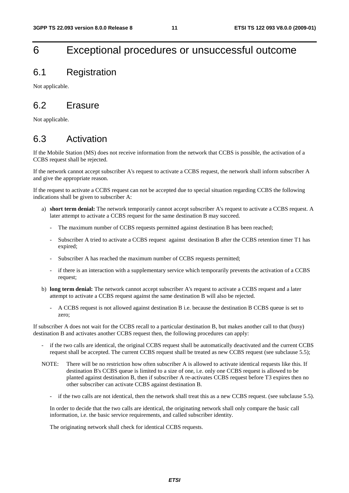### 6 Exceptional procedures or unsuccessful outcome

#### 6.1 Registration

Not applicable.

### 6.2 Erasure

Not applicable.

### 6.3 Activation

If the Mobile Station (MS) does not receive information from the network that CCBS is possible, the activation of a CCBS request shall be rejected.

If the network cannot accept subscriber A's request to activate a CCBS request, the network shall inform subscriber A and give the appropriate reason.

If the request to activate a CCBS request can not be accepted due to special situation regarding CCBS the following indications shall be given to subscriber A:

- a) **short term denial:** The network temporarily cannot accept subscriber A's request to activate a CCBS request. A later attempt to activate a CCBS request for the same destination B may succeed.
	- The maximum number of CCBS requests permitted against destination B has been reached;
	- Subscriber A tried to activate a CCBS request against destination B after the CCBS retention timer T1 has expired;
	- Subscriber A has reached the maximum number of CCBS requests permitted;
	- if there is an interaction with a supplementary service which temporarily prevents the activation of a CCBS request;
- b) **long term denial:** The network cannot accept subscriber A's request to activate a CCBS request and a later attempt to activate a CCBS request against the same destination B will also be rejected.
	- A CCBS request is not allowed against destination B i.e. because the destination B CCBS queue is set to zero;

If subscriber A does not wait for the CCBS recall to a particular destination B, but makes another call to that (busy) destination B and activates another CCBS request then, the following procedures can apply:

- if the two calls are identical, the original CCBS request shall be automatically deactivated and the current CCBS request shall be accepted. The current CCBS request shall be treated as new CCBS request (see subclause 5.5);
- NOTE: There will be no restriction how often subscriber A is allowed to activate identical requests like this. If destination B's CCBS queue is limited to a size of one, i.e. only one CCBS request is allowed to be planted against destination B, then if subscriber A re-activates CCBS request before T3 expires then no other subscriber can activate CCBS against destination B.
	- if the two calls are not identical, then the network shall treat this as a new CCBS request. (see subclause 5.5).

 In order to decide that the two calls are identical, the originating network shall only compare the basic call information, i.e. the basic service requirements, and called subscriber identity.

The originating network shall check for identical CCBS requests.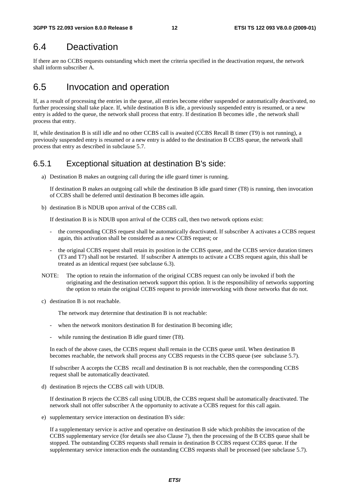#### 6.4 Deactivation

If there are no CCBS requests outstanding which meet the criteria specified in the deactivation request, the network shall inform subscriber A.

#### 6.5 Invocation and operation

If, as a result of processing the entries in the queue, all entries become either suspended or automatically deactivated, no further processing shall take place. If, while destination B is idle, a previously suspended entry is resumed, or a new entry is added to the queue, the network shall process that entry. If destination B becomes idle , the network shall process that entry.

If, while destination B is still idle and no other CCBS call is awaited (CCBS Recall B timer (T9) is not running), a previously suspended entry is resumed or a new entry is added to the destination B CCBS queue, the network shall process that entry as described in subclause 5.7.

#### 6.5.1 Exceptional situation at destination B's side:

a) Destination B makes an outgoing call during the idle guard timer is running.

 If destination B makes an outgoing call while the destination B idle guard timer (T8) is running, then invocation of CCBS shall be deferred until destination B becomes idle again.

b) destination B is NDUB upon arrival of the CCBS call.

If destination B is is NDUB upon arrival of the CCBS call, then two network options exist:

- the corresponding CCBS request shall be automatically deactivated. If subscriber A activates a CCBS request again, this activation shall be considered as a new CCBS request; or
- the original CCBS request shall retain its position in the CCBS queue, and the CCBS service duration timers (T3 and T7) shall not be restarted. If subscriber A attempts to activate a CCBS request again, this shall be treated as an identical request (see subclause 6.3).
- NOTE: The option to retain the information of the original CCBS request can only be invoked if both the originating and the destination network support this option. It is the responsibility of networks supporting the option to retain the original CCBS request to provide interworking with those networks that do not.
- c) destination B is not reachable.

The network may determine that destination B is not reachable:

- when the network monitors destination B for destination B becoming idle;
- while running the destination B idle guard timer (T8).

 In each of the above cases, the CCBS request shall remain in the CCBS queue until. When destination B becomes reachable, the network shall process any CCBS requests in the CCBS queue (see subclause 5.7).

 If subscriber A accepts the CCBS recall and destination B is not reachable, then the corresponding CCBS request shall be automatically deactivated.

d) destination B rejects the CCBS call with UDUB.

 If destination B rejects the CCBS call using UDUB, the CCBS request shall be automatically deactivated. The network shall not offer subscriber A the opportunity to activate a CCBS request for this call again.

e) supplementary service interaction on destination B's side:

 If a supplementary service is active and operative on destination B side which prohibits the invocation of the CCBS supplementary service (for details see also Clause 7), then the processing of the B CCBS queue shall be stopped. The outstanding CCBS requests shall remain in destination B CCBS request CCBS queue. If the supplementary service interaction ends the outstanding CCBS requests shall be processed (see subclause 5.7).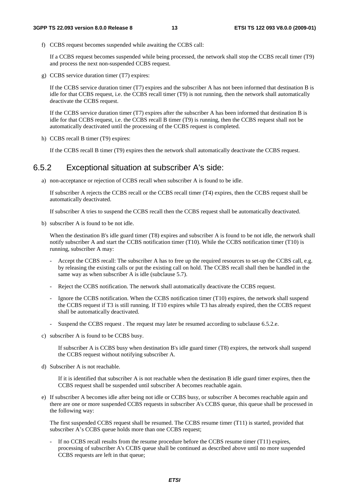f) CCBS request becomes suspended while awaiting the CCBS call:

 If a CCBS request becomes suspended while being processed, the network shall stop the CCBS recall timer (T9) and process the next non-suspended CCBS request.

g) CCBS service duration timer (T7) expires:

 If the CCBS service duration timer (T7) expires and the subscriber A has not been informed that destination B is idle for that CCBS request, i.e. the CCBS recall timer (T9) is not running, then the network shall automatically deactivate the CCBS request.

 If the CCBS service duration timer (T7) expires after the subscriber A has been informed that destination B is idle for that CCBS request, i.e. the CCBS recall B timer (T9) is running, then the CCBS request shall not be automatically deactivated until the processing of the CCBS request is completed.

h) CCBS recall B timer (T9) expires:

If the CCBS recall B timer (T9) expires then the network shall automatically deactivate the CCBS request.

#### 6.5.2 Exceptional situation at subscriber A's side:

a) non-acceptance or rejection of CCBS recall when subscriber A is found to be idle.

 If subscriber A rejects the CCBS recall or the CCBS recall timer (T4) expires, then the CCBS request shall be automatically deactivated.

If subscriber A tries to suspend the CCBS recall then the CCBS request shall be automatically deactivated.

b) subscriber A is found to be not idle.

When the destination B's idle guard timer (T8) expires and subscriber A is found to be not idle, the network shall notify subscriber A and start the CCBS notification timer (T10). While the CCBS notification timer (T10) is running, subscriber A may:

- Accept the CCBS recall: The subscriber A has to free up the required resources to set-up the CCBS call, e.g. by releasing the existing calls or put the existing call on hold. The CCBS recall shall then be handled in the same way as when subscriber A is idle (subclause 5.7).
- Reject the CCBS notification. The network shall automatically deactivate the CCBS request.
- Ignore the CCBS notification. When the CCBS notification timer (T10) expires, the network shall suspend the CCBS request if T3 is still running. If T10 expires while T3 has already expired, then the CCBS request shall be automatically deactivated.
- Suspend the CCBS request. The request may later be resumed according to subclause 6.5.2.e.
- c) subscriber A is found to be CCBS busy.

 If subscriber A is CCBS busy when destination B's idle guard timer (T8) expires, the network shall suspend the CCBS request without notifying subscriber A.

d) Subscriber A is not reachable.

 If it is identified that subscriber A is not reachable when the destination B idle guard timer expires, then the CCBS request shall be suspended until subscriber A becomes reachable again.

e) If subscriber A becomes idle after being not idle or CCBS busy, or subscriber A becomes reachable again and there are one or more suspended CCBS requests in subscriber A's CCBS queue, this queue shall be processed in the following way:

 The first suspended CCBS request shall be resumed. The CCBS resume timer (T11) is started, provided that subscriber A's CCBS queue holds more than one CCBS request;

If no CCBS recall results from the resume procedure before the CCBS resume timer (T11) expires, processing of subscriber A's CCBS queue shall be continued as described above until no more suspended CCBS requests are left in that queue;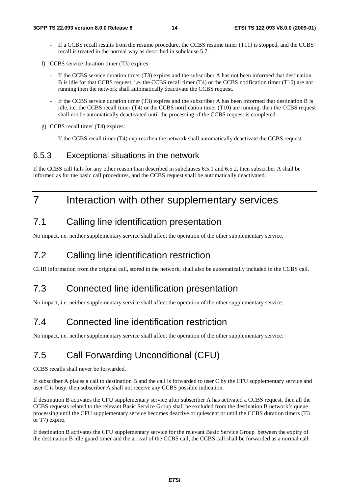- If a CCBS recall results from the resume procedure, the CCBS resume timer (T11) is stopped, and the CCBS recall is treated in the normal way as described in subclause 5.7.
- f) CCBS service duration timer (T3) expires:
	- If the CCBS service duration timer (T3) expires and the subscriber A has not been informed that destination B is idle for that CCBS request, i.e. the CCBS recall timer (T4) or the CCBS notification timer (T10) are not running then the network shall automatically deactivate the CCBS request.
	- If the CCBS service duration timer (T3) expires and the subscriber A has been informed that destination B is idle, i.e. the CCBS recall timer (T4) or the CCBS notification timer (T10) are running, then the CCBS request shall not be automatically deactivated until the processing of the CCBS request is completed.
- g) CCBS recall timer (T4) expires:

If the CCBS recall timer (T4) expires then the network shall automatically deactivate the CCBS request.

#### 6.5.3 Exceptional situations in the network

If the CCBS call fails for any other reason than described in subclauses 6.5.1 and 6.5.2, then subscriber A shall be informed as for the basic call procedures, and the CCBS request shall be automatically deactivated.

### 7 Interaction with other supplementary services

#### 7.1 Calling line identification presentation

No impact, i.e. neither supplementary service shall affect the operation of the other supplementary service.

### 7.2 Calling line identification restriction

CLIR information from the original call, stored in the network, shall also be automatically included in the CCBS call.

#### 7.3 Connected line identification presentation

No impact, i.e. neither supplementary service shall affect the operation of the other supplementary service.

#### 7.4 Connected line identification restriction

No impact, i.e. neither supplementary service shall affect the operation of the other supplementary service.

### 7.5 Call Forwarding Unconditional (CFU)

CCBS recalls shall never be forwarded.

If subscriber A places a call to destination B and the call is forwarded to user C by the CFU supplementary service and user C is busy, then subscriber A shall not receive any CCBS possible indication.

If destination B activates the CFU supplementary service after subscriber A has activated a CCBS request, then all the CCBS requests related to the relevant Basic Service Group shall be excluded from the destination B network's queue processing until the CFU supplementary service becomes deactive or quiescent or until the CCBS duration timers (T3 or T7) expire.

If destination B activates the CFU supplementary service for the relevant Basic Service Group between the expiry of the destination B idle guard timer and the arrival of the CCBS call, the CCBS call shall be forwarded as a normal call.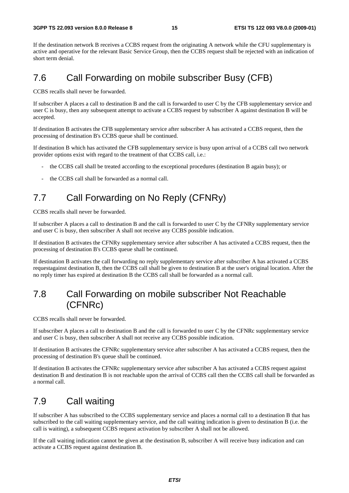If the destination network B receives a CCBS request from the originating A network while the CFU supplementary is active and operative for the relevant Basic Service Group, then the CCBS request shall be rejected with an indication of short term denial.

### 7.6 Call Forwarding on mobile subscriber Busy (CFB)

CCBS recalls shall never be forwarded.

If subscriber A places a call to destination B and the call is forwarded to user C by the CFB supplementary service and user C is busy, then any subsequent attempt to activate a CCBS request by subscriber A against destination B will be accepted.

If destination B activates the CFB supplementary service after subscriber A has activated a CCBS request, then the processing of destination B's CCBS queue shall be continued.

If destination B which has activated the CFB supplementary service is busy upon arrival of a CCBS call two network provider options exist with regard to the treatment of that CCBS call, i.e.:

- the CCBS call shall be treated according to the exceptional procedures (destination B again busy); or
- the CCBS call shall be forwarded as a normal call.

### 7.7 Call Forwarding on No Reply (CFNRy)

CCBS recalls shall never be forwarded.

If subscriber A places a call to destination B and the call is forwarded to user C by the CFNRy supplementary service and user C is busy, then subscriber A shall not receive any CCBS possible indication.

If destination B activates the CFNRy supplementary service after subscriber A has activated a CCBS request, then the processing of destination B's CCBS queue shall be continued.

If destination B activates the call forwarding no reply supplementary service after subscriber A has activated a CCBS requestagainst destination B, then the CCBS call shall be given to destination B at the user's original location. After the no reply timer has expired at destination B the CCBS call shall be forwarded as a normal call.

### 7.8 Call Forwarding on mobile subscriber Not Reachable (CFNRc)

CCBS recalls shall never be forwarded.

If subscriber A places a call to destination B and the call is forwarded to user C by the CFNRc supplementary service and user C is busy, then subscriber A shall not receive any CCBS possible indication.

If destination B activates the CFNRc supplementary service after subscriber A has activated a CCBS request, then the processing of destination B's queue shall be continued.

If destination B activates the CFNRc supplementary service after subscriber A has activated a CCBS request against destination B and destination B is not reachable upon the arrival of CCBS call then the CCBS call shall be forwarded as a normal call.

#### 7.9 Call waiting

If subscriber A has subscribed to the CCBS supplementary service and places a normal call to a destination B that has subscribed to the call waiting supplementary service, and the call waiting indication is given to destination B (i.e. the call is waiting), a subsequent CCBS request activation by subscriber A shall not be allowed.

If the call waiting indication cannot be given at the destination B, subscriber A will receive busy indication and can activate a CCBS request against destination B.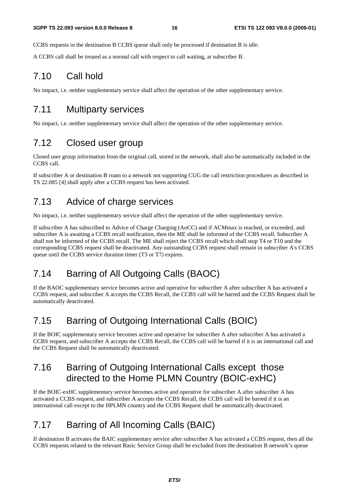CCBS requests in the destination B CCBS queue shall only be processed if destination B is idle.

A CCBS call shall be treated as a normal call with respect to call waiting, at subscriber B.

#### 7.10 Call hold

No impact, i.e. neither supplementary service shall affect the operation of the other supplementary service.

### 7.11 Multiparty services

No impact, i.e. neither supplementary service shall affect the operation of the other supplementary service.

### 7.12 Closed user group

Closed user group information from the original call, stored in the network, shall also be automatically included in the CCBS call.

If subscriber A or destination B roam to a network not supporting CUG the call restriction procedures as described in TS 22.085 [4] shall apply after a CCBS request has been activated.

### 7.13 Advice of charge services

No impact, i.e. neither supplementary service shall affect the operation of the other supplementary service.

If subscriber A has subscribed to Advice of Charge Charging (AoCC) and if ACMmax is reached, or exceeded, and subscriber A is awaiting a CCBS recall notification, then the ME shall be informed of the CCBS recall. Subscriber A shall not be informed of the CCBS recall. The ME shall reject the CCBS recall which shall stop T4 or T10 and the corresponding CCBS request shall be deactivated. Any outstanding CCBS request shall remain in subscriber A's CCBS queue until the CCBS service duration timer (T3 or T7) expires.

### 7.14 Barring of All Outgoing Calls (BAOC)

If the BAOC supplementary service becomes active and operative for subscriber A after subscriber A has activated a CCBS request, and subscriber A accepts the CCBS Recall, the CCBS call will be barred and the CCBS Request shall be automatically deactivated.

### 7.15 Barring of Outgoing International Calls (BOIC)

If the BOIC supplementary service becomes active and operative for subscriber A after subscriber A has activated a CCBS request, and subscriber A accepts the CCBS Recall, the CCBS call will be barred if it is an international call and the CCBS Request shall be automatically deactivated.

### 7.16 Barring of Outgoing International Calls except those directed to the Home PLMN Country (BOIC-exHC)

If the BOIC-exHC supplementary service becomes active and operative for subscriber A after subscriber A has activated a CCBS request, and subscriber A accepts the CCBS Recall, the CCBS call will be barred if it is an international call except to the HPLMN country and the CCBS Request shall be automatically deactivated.

### 7.17 Barring of All Incoming Calls (BAIC)

If destination B activates the BAIC supplementary service after subscriber A has activated a CCBS request, then all the CCBS requests related to the relevant Basic Service Group shall be excluded from the destination B network's queue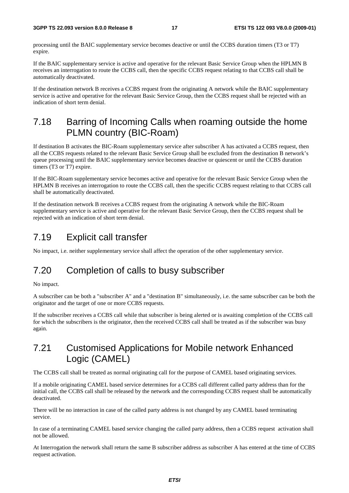processing until the BAIC supplementary service becomes deactive or until the CCBS duration timers (T3 or T7) expire.

If the BAIC supplementary service is active and operative for the relevant Basic Service Group when the HPLMN B receives an interrogation to route the CCBS call, then the specific CCBS request relating to that CCBS call shall be automatically deactivated.

If the destination network B receives a CCBS request from the originating A network while the BAIC supplementary service is active and operative for the relevant Basic Service Group, then the CCBS request shall be rejected with an indication of short term denial.

### 7.18 Barring of Incoming Calls when roaming outside the home PLMN country (BIC-Roam)

If destination B activates the BIC-Roam supplementary service after subscriber A has activated a CCBS request, then all the CCBS requests related to the relevant Basic Service Group shall be excluded from the destination B network's queue processing until the BAIC supplementary service becomes deactive or quiescent or until the CCBS duration timers (T3 or T7) expire.

If the BIC-Roam supplementary service becomes active and operative for the relevant Basic Service Group when the HPLMN B receives an interrogation to route the CCBS call, then the specific CCBS request relating to that CCBS call shall be automatically deactivated.

If the destination network B receives a CCBS request from the originating A network while the BIC-Roam supplementary service is active and operative for the relevant Basic Service Group, then the CCBS request shall be rejected with an indication of short term denial.

### 7.19 Explicit call transfer

No impact, i.e. neither supplementary service shall affect the operation of the other supplementary service.

## 7.20 Completion of calls to busy subscriber

#### No impact.

A subscriber can be both a "subscriber A" and a "destination B" simultaneously, i.e. the same subscriber can be both the originator and the target of one or more CCBS requests.

If the subscriber receives a CCBS call while that subscriber is being alerted or is awaiting completion of the CCBS call for which the subscribers is the originator, then the received CCBS call shall be treated as if the subscriber was busy again.

#### 7.21 Customised Applications for Mobile network Enhanced Logic (CAMEL)

The CCBS call shall be treated as normal originating call for the purpose of CAMEL based originating services.

If a mobile originating CAMEL based service determines for a CCBS call different called party address than for the initial call, the CCBS call shall be released by the network and the corresponding CCBS request shall be automatically deactivated.

There will be no interaction in case of the called party address is not changed by any CAMEL based terminating service.

In case of a terminating CAMEL based service changing the called party address, then a CCBS request activation shall not be allowed.

At Interrogation the network shall return the same B subscriber address as subscriber A has entered at the time of CCBS request activation.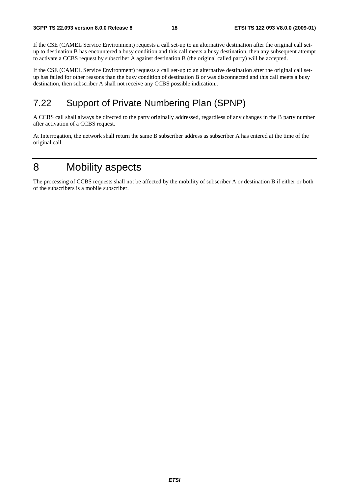If the CSE (CAMEL Service Environment) requests a call set-up to an alternative destination after the original call setup to destination B has encountered a busy condition and this call meets a busy destination, then any subsequent attempt to activate a CCBS request by subscriber A against destination B (the original called party) will be accepted.

If the CSE (CAMEL Service Environment) requests a call set-up to an alternative destination after the original call setup has failed for other reasons than the busy condition of destination B or was disconnected and this call meets a busy destination, then subscriber A shall not receive any CCBS possible indication..

### 7.22 Support of Private Numbering Plan (SPNP)

A CCBS call shall always be directed to the party originally addressed, regardless of any changes in the B party number after activation of a CCBS request.

At Interrogation, the network shall return the same B subscriber address as subscriber A has entered at the time of the original call.

### 8 Mobility aspects

The processing of CCBS requests shall not be affected by the mobility of subscriber A or destination B if either or both of the subscribers is a mobile subscriber.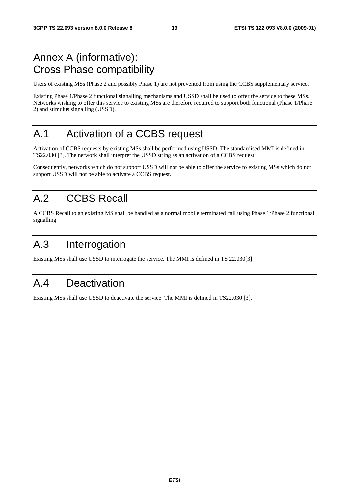### Annex A (informative): Cross Phase compatibility

Users of existing MSs (Phase 2 and possibly Phase 1) are not prevented from using the CCBS supplementary service.

Existing Phase 1/Phase 2 functional signalling mechanisms and USSD shall be used to offer the service to these MSs. Networks wishing to offer this service to existing MSs are therefore required to support both functional (Phase 1/Phase 2) and stimulus signalling (USSD).

## A.1 Activation of a CCBS request

Activation of CCBS requests by existing MSs shall be performed using USSD. The standardised MMI is defined in TS22.030 [3]. The network shall interpret the USSD string as an activation of a CCBS request.

Consequently, networks which do not support USSD will not be able to offer the service to existing MSs which do not support USSD will not be able to activate a CCBS request.

## A.2 CCBS Recall

A CCBS Recall to an existing MS shall be handled as a normal mobile terminated call using Phase 1/Phase 2 functional signalling.

## A.3 Interrogation

Existing MSs shall use USSD to interrogate the service. The MMI is defined in TS 22.030[3].

### A.4 Deactivation

Existing MSs shall use USSD to deactivate the service. The MMI is defined in TS22.030 [3].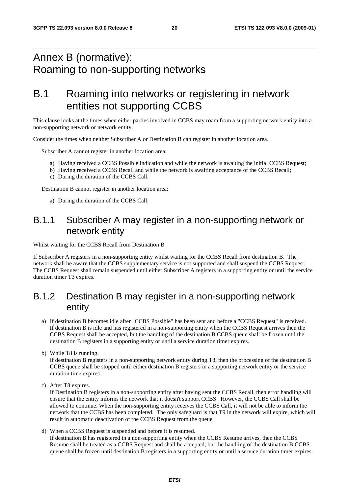### Annex B (normative): Roaming to non-supporting networks

### B.1 Roaming into networks or registering in network entities not supporting CCBS

This clause looks at the times when either parties involved in CCBS may roam from a supporting network entity into a non-supporting network or network entity.

Consider the times when neither Subscriber A or Destination B can register in another location area.

Subscriber A cannot register in another location area:

- a) Having received a CCBS Possible indication and while the network is awaiting the initial CCBS Request;
- b) Having received a CCBS Recall and while the network is awaiting acceptance of the CCBS Recall;
- c) During the duration of the CCBS Call.

Destination B cannot register in another location area:

a) During the duration of the CCBS Call;

#### B.1.1 Subscriber A may register in a non-supporting network or network entity

Whilst waiting for the CCBS Recall from Destination B

If Subscriber A registers in a non-supporting entity whilst waiting for the CCBS Recall from destination B. The network shall be aware that the CCBS supplementary service is not supported and shall suspend the CCBS Request. The CCBS Request shall remain suspended until either Subscriber A registers in a supporting entity or until the service duration timer T3 expires.

### B.1.2 Destination B may register in a non-supporting network entity

- a) If destination B becomes idle after "CCBS Possible" has been sent and before a "CCBS Request" is received. If destination B is idle and has registered in a non-supporting entity when the CCBS Request arrives then the CCBS Request shall be accepted, but the handling of the destination B CCBS queue shall be frozen until the destination B registers in a supporting entity or until a service duration timer expires.
- b) While T8 is running.

If destination B registers in a non-supporting network entity during T8, then the processing of the destination B CCBS queue shall be stopped until either destination B registers in a supporting network entity or the service duration time expires.

c) After T8 expires.

If Destination B registers in a non-supporting entity after having sent the CCBS Recall, then error handling will ensure that the entity informs the network that it doesn't support CCBS. However, the CCBS Call shall be allowed to continue. When the non-supporting entity receives the CCBS Call, it will not be able to inform the network that the CCBS has been completed. The only safeguard is that T9 in the network will expire, which will result in automatic deactivation of the CCBS Request from the queue.

d) When a CCBS Request is suspended and before it is resumed. If destination B has registered in a non-supporting entity when the CCBS Resume arrives, then the CCBS Resume shall be treated as a CCBS Request and shall be accepted, but the handling of the destination B CCBS queue shall be frozen until destination B registers in a supporting entity or until a service duration timer expires.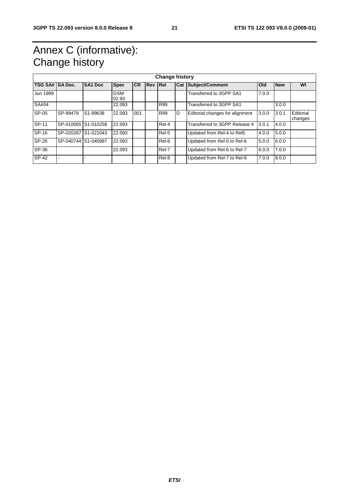## Annex C (informative): Change history

| <b>Change history</b> |                     |                       |                     |           |            |            |            |                                 |       |            |                      |
|-----------------------|---------------------|-----------------------|---------------------|-----------|------------|------------|------------|---------------------------------|-------|------------|----------------------|
| TSG SA# SA Doc.       |                     | <b>SA1 Doc</b>        | <b>Spec</b>         | <b>CR</b> | <b>Rev</b> | Rel        | <b>Cat</b> | Subject/Comment                 | Old   | <b>New</b> | WI                   |
| Jun 1999              |                     |                       | <b>GSM</b><br>02.93 |           |            |            |            | Transferred to 3GPP SA1         | 7.0.0 |            |                      |
| SA#04                 |                     |                       | 22.093              |           |            | <b>R99</b> |            | Transferred to 3GPP SA1         |       | 3.0.0      |                      |
| SP-05                 | SP-99479            | S <sub>1</sub> -99638 | 22.093              | 001       |            | <b>R99</b> | D          | Editorial changes for alignment | 3.0.0 | 3.0.1      | Editorial<br>changes |
| SP-11                 |                     | SP-010065 S1-010258   | 22.093              |           |            | Rel-4      |            | Transferred to 3GPP Release 4   | 3.0.1 | 4.0.0      |                      |
| SP-16                 |                     | SP-020267 S1-021043   | 22.093              |           |            | Rel-5      |            | Updated from Rel-4 to Rel5      | 4.0.0 | 5.0.0      |                      |
| SP-26                 | SP-040744 S1-040997 |                       | 22.093              |           |            | Rel-6      |            | Updated from Rel-5 to Rel-6     | 5.0.0 | 6.0.0      |                      |
| SP-36                 |                     |                       | 22.093              |           |            | Rel-7      |            | Updated from Rel-6 to Rel-7     | 6.0.0 | 7.0.0      |                      |
| SP-42                 |                     |                       |                     |           |            | Rel-8      |            | Updated from Rel-7 to Rel-8     | 7.0.0 | 8.0.0      |                      |